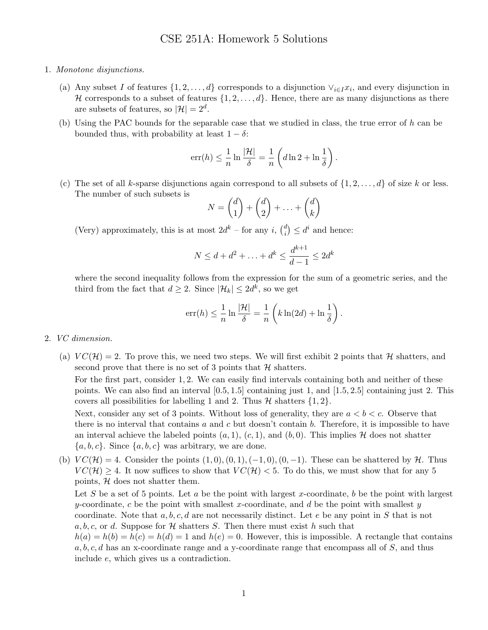- 1. Monotone disjunctions.
	- (a) Any subset I of features  $\{1, 2, \ldots, d\}$  corresponds to a disjunction  $\vee_{i \in I} x_i$ , and every disjunction in H corresponds to a subset of features  $\{1, 2, \ldots, d\}$ . Hence, there are as many disjunctions as there are subsets of features, so  $|\mathcal{H}| = 2^d$ .
	- (b) Using the PAC bounds for the separable case that we studied in class, the true error of h can be bounded thus, with probability at least  $1 - \delta$ :

$$
err(h) \leq \frac{1}{n} \ln \frac{|\mathcal{H}|}{\delta} = \frac{1}{n} \left( d \ln 2 + \ln \frac{1}{\delta} \right).
$$

(c) The set of all k-sparse disjunctions again correspond to all subsets of  $\{1, 2, \ldots, d\}$  of size k or less. The number of such subsets is

$$
N = \binom{d}{1} + \binom{d}{2} + \ldots + \binom{d}{k}
$$

(Very) approximately, this is at most  $2d^k$  – for any i,  $\binom{d}{i}$  $\binom{d}{i} \leq d^i$  and hence:

$$
N \le d + d^2 + \ldots + d^k \le \frac{d^{k+1}}{d-1} \le 2d^k
$$

where the second inequality follows from the expression for the sum of a geometric series, and the third from the fact that  $d \geq 2$ . Since  $|\mathcal{H}_k| \leq 2d^k$ , so we get

$$
err(h) \le \frac{1}{n} \ln \frac{|\mathcal{H}|}{\delta} = \frac{1}{n} \left( k \ln(2d) + \ln \frac{1}{\delta} \right).
$$

- 2. VC dimension.
	- (a)  $VC(\mathcal{H}) = 2$ . To prove this, we need two steps. We will first exhibit 2 points that H shatters, and second prove that there is no set of 3 points that  $H$  shatters.

For the first part, consider 1, 2. We can easily find intervals containing both and neither of these points. We can also find an interval [0.5, 1.5] containing just 1, and [1.5, 2.5] containing just 2. This covers all possibilities for labelling 1 and 2. Thus  $\mathcal H$  shatters  $\{1,2\}$ .

Next, consider any set of 3 points. Without loss of generality, they are  $a < b < c$ . Observe that there is no interval that contains  $a$  and  $c$  but doesn't contain  $b$ . Therefore, it is impossible to have an interval achieve the labeled points  $(a, 1), (c, 1)$ , and  $(b, 0)$ . This implies H does not shatter  ${a, b, c}$ . Since  ${a, b, c}$  was arbitrary, we are done.

(b)  $VC(\mathcal{H}) = 4$ . Consider the points  $(1, 0), (0, 1), (-1, 0), (0, -1)$ . These can be shattered by  $\mathcal{H}$ . Thus  $VC(\mathcal{H}) \geq 4$ . It now suffices to show that  $VC(\mathcal{H}) < 5$ . To do this, we must show that for any 5 points,  $H$  does not shatter them.

Let S be a set of 5 points. Let a be the point with largest x-coordinate, b be the point with largest y-coordinate, c be the point with smallest x-coordinate, and d be the point with smallest y coordinate. Note that  $a, b, c, d$  are not necessarily distinct. Let e be any point in S that is not a, b, c, or d. Suppose for  $\mathcal H$  shatters S. Then there must exist h such that

 $h(a) = h(b) = h(c) = h(d) = 1$  and  $h(e) = 0$ . However, this is impossible. A rectangle that contains  $a, b, c, d$  has an x-coordinate range and a y-coordinate range that encompass all of S, and thus include e, which gives us a contradiction.